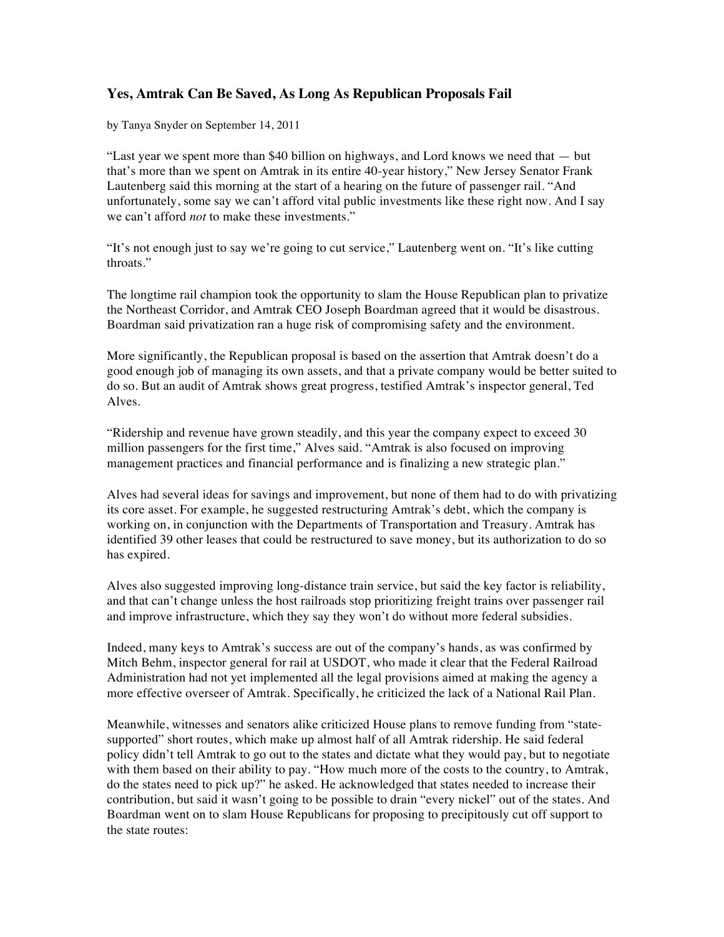## **Yes, Amtrak Can Be Saved, As Long As Republican Proposals Fail**

by Tanya Snyder on September 14, 2011

"Last year we spent more than \$40 billion on highways, and Lord knows we need that — but that's more than we spent on Amtrak in its entire 40-year history," New Jersey Senator Frank Lautenberg said this morning at the start of a hearing on the future of passenger rail. "And unfortunately, some say we can't afford vital public investments like these right now. And I say we can't afford *not* to make these investments."

"It's not enough just to say we're going to cut service," Lautenberg went on. "It's like cutting throats."

The longtime rail champion took the opportunity to slam the House Republican plan to privatize the Northeast Corridor, and Amtrak CEO Joseph Boardman agreed that it would be disastrous. Boardman said privatization ran a huge risk of compromising safety and the environment.

More significantly, the Republican proposal is based on the assertion that Amtrak doesn't do a good enough job of managing its own assets, and that a private company would be better suited to do so. But an audit of Amtrak shows great progress, testified Amtrak's inspector general, Ted Alves.

"Ridership and revenue have grown steadily, and this year the company expect to exceed 30 million passengers for the first time," Alves said. "Amtrak is also focused on improving management practices and financial performance and is finalizing a new strategic plan."

Alves had several ideas for savings and improvement, but none of them had to do with privatizing its core asset. For example, he suggested restructuring Amtrak's debt, which the company is working on, in conjunction with the Departments of Transportation and Treasury. Amtrak has identified 39 other leases that could be restructured to save money, but its authorization to do so has expired.

Alves also suggested improving long-distance train service, but said the key factor is reliability, and that can't change unless the host railroads stop prioritizing freight trains over passenger rail and improve infrastructure, which they say they won't do without more federal subsidies.

Indeed, many keys to Amtrak's success are out of the company's hands, as was confirmed by Mitch Behm, inspector general for rail at USDOT, who made it clear that the Federal Railroad Administration had not yet implemented all the legal provisions aimed at making the agency a more effective overseer of Amtrak. Specifically, he criticized the lack of a National Rail Plan.

Meanwhile, witnesses and senators alike criticized House plans to remove funding from "statesupported" short routes, which make up almost half of all Amtrak ridership. He said federal policy didn't tell Amtrak to go out to the states and dictate what they would pay, but to negotiate with them based on their ability to pay. "How much more of the costs to the country, to Amtrak, do the states need to pick up?" he asked. He acknowledged that states needed to increase their contribution, but said it wasn't going to be possible to drain "every nickel" out of the states. And Boardman went on to slam House Republicans for proposing to precipitously cut off support to the state routes: